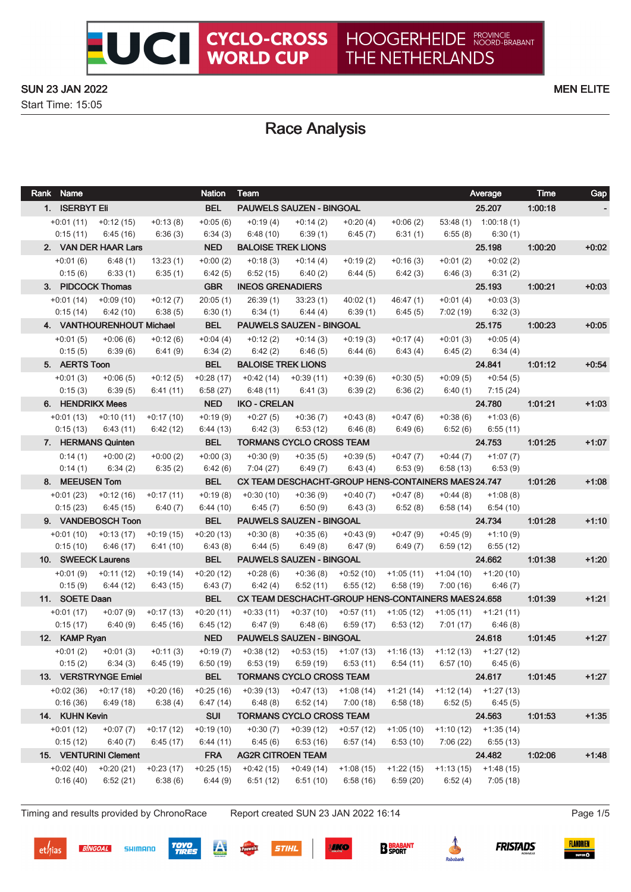Start Time: 15:05

## Race Analysis

| Rank Name                 |                                     |                        | <b>Nation</b>          | <b>Team</b>                                                                 |                                                          |                         |             |             | Average                                         | <b>Time</b> | Gap     |
|---------------------------|-------------------------------------|------------------------|------------------------|-----------------------------------------------------------------------------|----------------------------------------------------------|-------------------------|-------------|-------------|-------------------------------------------------|-------------|---------|
| 1. ISERBYT Eli            |                                     |                        | <b>BEL</b>             |                                                                             | PAUWELS SAUZEN - BINGOAL                                 |                         |             |             | 25.207                                          | 1:00:18     |         |
|                           | $+0.01(11)$ $+0.12(15)$             | $+0:13(8)$             | $+0.05(6)$             | $+0:19(4)$                                                                  | $+0:14(2)$                                               | $+0:20(4)$              | $+0:06(2)$  |             | $53:48(1)$ 1:00:18(1)                           |             |         |
| 0:15(11)                  | 6:45(16)                            | 6:36(3)                | 6:34(3)                | 6:48(10)                                                                    | 6:39 (1)                                                 | 6:45 (7)                | 6:31(1)     |             | $6:55(8)$ $6:30(1)$                             |             |         |
|                           | 2. VAN DER HAAR Lars                |                        | <b>NED</b>             | <b>BALOISE TREK LIONS</b>                                                   |                                                          |                         |             |             | 25.198                                          | 1:00:20     | $+0.02$ |
| $+0:01(6)$                | 6:48(1)                             | 13:23(1)               | $+0:00(2)$             | $+0:18(3)$                                                                  | $+0:14(4)$                                               | $+0:19(2)$              | $+0:16(3)$  | $+0:01(2)$  | $+0:02(2)$                                      |             |         |
| 0:15(6)                   | 6:33(1)                             | 6:35(1)                | 6:42(5)                | 6:52(15)                                                                    | 6:40(2)                                                  | 6:44(5)                 | 6:42(3)     |             | $6:46(3)$ $6:31(2)$                             |             |         |
|                           | 3. PIDCOCK Thomas                   |                        | <b>GBR</b>             | <b>INEOS GRENADIERS</b>                                                     |                                                          |                         |             |             | 25.193                                          | 1:00:21     | $+0.03$ |
|                           | $+0.01(14) +0.09(10)$               | $+0:12(7)$             | 20:05(1)               | 26:39(1)                                                                    | 33:23(1)                                                 | 40:02(1)                | 46:47(1)    | $+0:01(4)$  | $+0:03(3)$                                      |             |         |
| 0:15(14)                  | 6:42(10)                            | 6:38(5)                | 6:30(1)                | 6:34(1)                                                                     | 6:44 (4)                                                 | 6:39(1)                 | 6:45(5)     |             | $7:02(19)$ 6:32(3)                              |             |         |
|                           | 4. VANTHOURENHOUT Michael           |                        | <b>BEL</b>             |                                                                             | PAUWELS SAUZEN - BINGOAL                                 |                         |             |             | 25.175                                          | 1:00:23     | $+0:05$ |
| $+0:01(5)$                | $+0.06(6)$                          | $+0:12(6)$             | $+0:04(4)$             | $+0:12(2)$                                                                  | $+0:14(3)$                                               | $+0:19(3)$              | $+0:17(4)$  | $+0:01(3)$  | $+0:05(4)$                                      |             |         |
| 0:15(5)                   | 6:39(6)                             | 6:41(9)                | 6:34(2)                | 6:42(2)                                                                     | 6:46(5)                                                  | 6:44(6)                 | 6:43(4)     |             | $6:45(2)$ $6:34(4)$                             |             |         |
| 5. AERTS Toon             |                                     |                        | <b>BEL</b>             | <b>BALOISE TREK LIONS</b>                                                   |                                                          |                         |             |             | 24.841                                          | 1.01:12     | $+0.54$ |
| $+0:01(3)$                | $+0.06(5)$                          | $+0:12(5)$             | $+0.28(17)$            |                                                                             | $+0.42(14) +0.39(11)$                                    | $+0.39(6)$              | $+0:30(5)$  | $+0.09(5)$  | $+0.54(5)$                                      |             |         |
| 0:15(3)                   | 6:39 (5)                            | 6:41(11)               | 6:58(27)               | 6:48 (11)                                                                   | 6:41 (3)                                                 | 6:39(2)                 | 6:36(2)     | 6:40 (1)    | 7:15 (24)                                       |             |         |
| 6. HENDRIKX Mees          |                                     |                        | <b>NED</b>             | <b>IKO - CRELAN</b>                                                         |                                                          |                         |             |             | 24.780                                          | 1:01:21     | $+1:03$ |
|                           | $+0:01(13)$ $+0:10(11)$             | $+0:17(10)$            | $+0.19(9)$             | $+0:27(5)$                                                                  | $+0:36(7)$                                               | $+0:43(8)$              | $+0:47(6)$  | $+0.38(6)$  | $+1:03(6)$                                      |             |         |
| 0:15(13)                  | 6:43(11)                            | 6:42(12)               | 6:44(13)               | 6:42(3)                                                                     | 6:53(12)                                                 | 6:46(8)                 | 6:49(6)     | 6:52 (6)    | 6:55(11)                                        |             |         |
|                           | 7. HERMANS Quinten                  |                        | <b>BEL</b>             |                                                                             | <b>TORMANS CYCLO CROSS TEAM</b>                          |                         |             |             | 24.753                                          | 1:01:25     | $+1:07$ |
| 0:14(1)                   | $+0:00(2)$                          | $+0:00(2)$             | $+0:00(3)$             | $+0:30(9)$                                                                  | $+0.35(5)$                                               | $+0.39(5)$              | $+0:47(7)$  | $+0:44(7)$  | $+1:07(7)$                                      |             |         |
| 0:14(1)                   | 6:34(2)                             | 6:35(2)                | 6:42(6)                | 7:04(27)                                                                    | 6:49(7)                                                  | 6:43(4)                 | 6:53(9)     | 6:58(13)    | 6:53(9)                                         |             |         |
| 8. MEEUSEN Tom            |                                     |                        | <b>BEL</b>             |                                                                             | CX TEAM DESCHACHT-GROUP HENS-CONTAINERS MAES 24.747      |                         |             |             |                                                 | 1:01:26     | $+1:08$ |
|                           | $+0:01(23)$ $+0:12(16)$ $+0:17(11)$ |                        | $+0.19(8)$             | $+0:30(10)$                                                                 | $+0.36(9)$                                               | $+0:40(7)$              | $+0:47(8)$  | $+0.44(8)$  | $+1:08(8)$                                      |             |         |
| 0:15(23)                  | 6:45 (15)                           | 6:40(7)                | 6:44(10)               | 6:45(7)                                                                     | 6:50(9)                                                  | 6:43(3)                 | 6:52(8)     | 6:58 (14)   | 6:54(10)                                        |             |         |
|                           | 9. VANDEBOSCH Toon                  |                        | <b>BEL</b>             |                                                                             | <b>PAUWELS SAUZEN - BINGOAL</b>                          |                         |             |             | 24.734 1.01.28                                  |             | $+1:10$ |
|                           | $+0.01(10)$ $+0.13(17)$             | $+0.19(15)$            | $+0:20(13)$            | $+0:30(8)$                                                                  | $+0.35(6)$                                               | +0:43 (9)               | $+0.47(9)$  |             | $+0.45(9)$ $+1.10(9)$                           |             |         |
| 0:15(10)                  | 6:46(17)                            | 6:41(10)               | 6:43(8)                | 6:44(5)                                                                     | 6:49(8)                                                  | 6:47 (9)                | 6:49 (7)    | 6:59 (12)   | 6:55(12)                                        |             |         |
|                           | 10. SWEECK Laurens                  |                        | <b>BEL</b>             |                                                                             | <b>PAUWELS SAUZEN - BINGOAL</b>                          |                         |             |             | 24.662                                          | 1.01.38     | $+1:20$ |
| $+0:01(9)$                | $+0:11(12)$                         | $+0.19(14)$            | $+0:20(12)$            | $+0.28(6)$                                                                  | $+0.36(8)$                                               |                         |             |             | $+0:52(10)$ $+1:05(11)$ $+1:04(10)$ $+1:20(10)$ |             |         |
| 0:15(9)                   | 6:44(12)                            | 6:43(15)               | 6:43(7)                | 6:42(4)                                                                     | 6:52(11)                                                 | 6:55(12)                | 6:58(19)    | 7:00 (16)   | 6:46(7)                                         |             |         |
| 11. SOETE Daan            |                                     |                        | <b>BEL</b>             |                                                                             | CX TEAM DESCHACHT-GROUP HENS-CONTAINERS MAES 24.658      |                         |             |             |                                                 | 1.01.39     | $+1:21$ |
| $+0:01(17)$               | $+0:07(9)$                          | $+0:17(13)$            | $+0:20(11)$            | $+0:33(11)$                                                                 | $+0.37(10)$                                              | $+0.57(11)$ $+1.05(12)$ |             |             | $+1:05(11)$ $+1:21(11)$                         |             |         |
| 0:15(17)<br>12. KAMP Ryan | 6:40 (9)                            | 6:45(16)               | 6:45(12)<br><b>NED</b> | 6:47(9)                                                                     | 6:48(6)<br><b>PAUWELS SAUZEN - BINGOAL</b>               | 6:59(17)                | 6:53 (12)   | 7:01 (17)   | 6:46(8)                                         | 1:01:45     | $+1:27$ |
|                           |                                     |                        |                        |                                                                             |                                                          |                         |             |             | 24.618                                          |             |         |
| 0:15(2)                   | $+0.01(2)$ $+0.01(3)$               | $+0:11(3)$<br>6:45(19) | 6:50(19)               | +0:19 (7) +0:38 (12) +0:53 (15) +1:07 (13) +1:16 (13) +1:12 (13) +1:27 (12) |                                                          | 6:53(11)                | 6:54(11)    | 6:57 (10)   | 6:45(6)                                         |             |         |
|                           | 6:34(3)<br>13. VERSTRYNGE Emiel     |                        | <b>BEL</b>             |                                                                             | $6:53(19)$ $6:59(19)$<br><b>TORMANS CYCLO CROSS TEAM</b> |                         |             |             | 24.617                                          | 1.01.45     | $+1:27$ |
| $+0.02(36)$               | $+0:17(18)$                         | $+0:20(16)$            | $+0:25(16)$            | $+0.39(13)$                                                                 | +0:47 (13)                                               | $+1:08(14)$             | $+1:21(14)$ | +1:12 (14)  | $+1:27(13)$                                     |             |         |
| 0:16(36)                  | 6:49(18)                            | 6:38(4)                | 6:47(14)               | 6:48(8)                                                                     | 6:52(14)                                                 | 7:00(18)                | 6:58(18)    | 6:52(5)     | 6:45(5)                                         |             |         |
| 14. KUHN Kevin            |                                     |                        | <b>SUI</b>             |                                                                             | <b>TORMANS CYCLO CROSS TEAM</b>                          |                         |             |             | 24.563                                          | 1:01:53     | $+1:35$ |
| $+0:01(12)$               | $+0:07(7)$                          | $+0:17(12)$            | $+0:19(10)$            | $+0:30(7)$                                                                  | $+0.39(12)$                                              | $+0.57(12)$             | $+1:05(10)$ | $+1:10(12)$ | $+1:35(14)$                                     |             |         |
| 0:15(12)                  | 6:40(7)                             | 6:45(17)               | 6:44(11)               | 6:45(6)                                                                     | 6:53(16)                                                 | 6:57(14)                | 6:53(10)    | 7:06(22)    | 6:55(13)                                        |             |         |
|                           | 15. VENTURINI Clement               |                        | <b>FRA</b>             | <b>AG2R CITROEN TEAM</b>                                                    |                                                          |                         |             |             | 24.482                                          | 1.02.06     | $+1:48$ |
| $+0.02(40)$               | $+0:20(21)$                         | $+0:23(17)$            | $+0:25(15)$            | $+0.42(15)$                                                                 | $+0.49(14)$                                              | $+1:08(15)$             | $+1:22(15)$ | +1:13 (15)  | $+1:48(15)$                                     |             |         |
| 0:16(40)                  | 6:52(21)                            | 6:38(6)                | 6:44(9)                | 6:51(12)                                                                    | 6:51(10)                                                 | 6:58(16)                | 6:59(20)    | 6:52(4)     | 7:05(18)                                        |             |         |
|                           |                                     |                        |                        |                                                                             |                                                          |                         |             |             |                                                 |             |         |

Timing and results provided by ChronoRace Report created SUN 23 JAN 2022 16:14 Page 1/5

**SIKO** 

 $et/$ ias

**BINGOAL** 

SHIMANO







**STIHL** 



**TOYO<br>TIRES**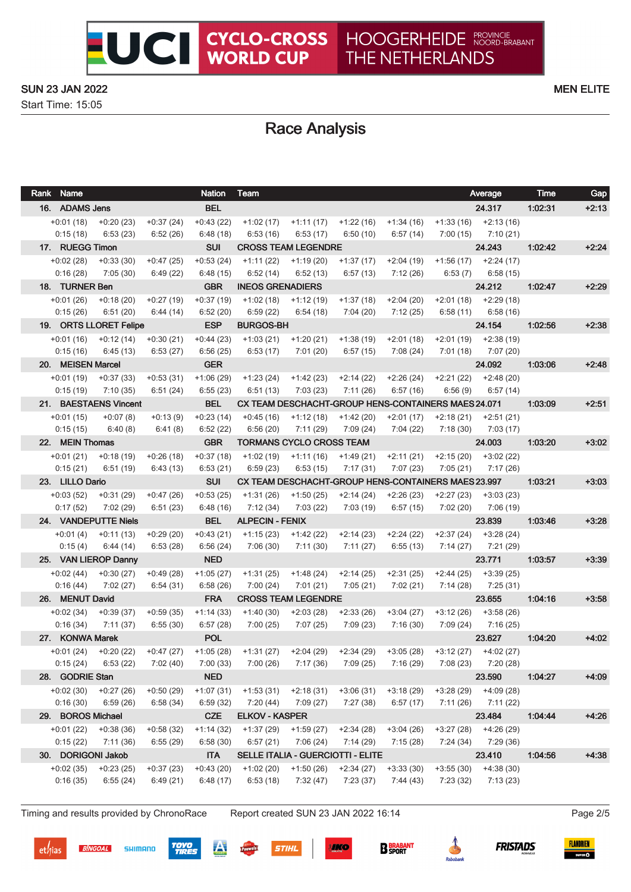Start Time: 15:05

# Race Analysis

UCI CYCLO-CROSS

| Rank Name                   |                          |                         | <b>Nation</b>          | Team                                                                                |                                         |                                                     |                         |                          | Average                                         | <b>Time</b> | Gap     |
|-----------------------------|--------------------------|-------------------------|------------------------|-------------------------------------------------------------------------------------|-----------------------------------------|-----------------------------------------------------|-------------------------|--------------------------|-------------------------------------------------|-------------|---------|
| 16. ADAMS Jens              |                          |                         | <b>BEL</b>             |                                                                                     |                                         |                                                     |                         |                          | 24.317                                          | 1:02:31     | $+2:13$ |
|                             | $+0.01(18) +0.20(23)$    | $+0:37(24)$             | $+0:43(22)$            | $+1:02(17)$                                                                         | +1:11 (17)                              | $+1:22(16)$ $+1:34(16)$ $+1:33(16)$ $+2:13(16)$     |                         |                          |                                                 |             |         |
| 0:15(18)                    | 6:53(23)                 | 6:52(26)                | 6:48(18)               | 6:53(16)                                                                            | 6:53(17)                                | 6:50(10)                                            | 6:57(14)                |                          | $7:00(15)$ $7:10(21)$                           |             |         |
| 17. RUEGG Timon             |                          |                         | <b>SUI</b>             | <b>CROSS TEAM LEGENDRE</b>                                                          |                                         |                                                     |                         |                          | 24.243                                          | 1.02.42     | $+2:24$ |
|                             | $+0.02(28)$ $+0.33(30)$  | $+0:47(25)$             | $+0.53(24)$            | $+1:11(22)$                                                                         | +1:19 (20)                              |                                                     |                         |                          | $+1:37(17)$ $+2:04(19)$ $+1:56(17)$ $+2:24(17)$ |             |         |
| 0:16(28)                    | 7:05 (30)                | 6:49(22)                | 6:48(15)               | 6:52(14)                                                                            | 6:52(13)                                | 6:57 (13)                                           | 7:12 (26)               |                          | $6:53(7)$ $6:58(15)$                            |             |         |
| 18. TURNER Ben              |                          |                         | <b>GBR</b>             | <b>INEOS GRENADIERS</b>                                                             |                                         |                                                     |                         |                          | 24.212                                          | 1:02:47     | $+2:29$ |
|                             | $+0.01(26)$ $+0.18(20)$  | $+0:27(19)$             | $+0:37(19)$            | +1:02 (18)                                                                          | $+1:12(19)$                             |                                                     | $+1:37(18)$ $+2:04(20)$ |                          | $+2:01(18)$ $+2:29(18)$                         |             |         |
| 0:15(26)                    | 6:51(20)                 | 6:44 (14)               | 6:52(20)               | 6:59(22)                                                                            | 6:54(18)                                | 7:04 (20)                                           | 7:12 (25)               |                          | $6:58(11)$ $6:58(16)$                           |             |         |
|                             | 19. ORTS LLORET Felipe   |                         | <b>ESP</b>             | <b>BURGOS-BH</b>                                                                    |                                         |                                                     |                         |                          | 24.154                                          | 1:02:56     | $+2:38$ |
|                             | $+0.01(16) +0.12(14)$    | $+0:30(21)$             | $+0:44(23)$            | $+1:03(21)$                                                                         | +1:20 (21)                              | $+1:38(19)$                                         | $+2:01(18)$             | $+2:01(19)$              | $+2:38(19)$                                     |             |         |
| 0:15(16)                    | 6:45 (13)                | 6:53(27)                | 6:56(25)               | 6:53 (17)                                                                           | 7:01 (20)                               | 6:57(15)                                            | 7:08(24)                |                          | 7:01 (18) 7:07 (20)                             |             |         |
| 20. MEISEN Marcel           |                          |                         | <b>GER</b>             |                                                                                     |                                         |                                                     |                         |                          | 24.092                                          | 1:03:06     | $+2:48$ |
|                             | $+0.01(19) +0.37(33)$    | $+0.53(31)$             | $+1:06(29)$            | +1:23 (24)                                                                          | $+1:42(23)$                             | $+2:14(22)$                                         | +2:26 (24) +2:21 (22)   |                          | $+2:48(20)$                                     |             |         |
| 0:15(19)                    | 7:10 (35)                | 6:51(24)                | 6:55(23)               | 6:51 (13)                                                                           | 7:03 (23)                               | 7:11 (26)                                           | 6:57(16)                | 6:56(9)                  | 6:57(14)                                        |             |         |
|                             | 21. BAESTAENS Vincent    |                         | <b>BEL</b>             |                                                                                     |                                         | CX TEAM DESCHACHT-GROUP HENS-CONTAINERS MAES 24.071 |                         |                          |                                                 | 1.03.09     | $+2:51$ |
| $+0:01(15)$                 | $+0:07(8)$               | $+0:13(9)$              | $+0:23(14)$            | $+0.45(16)$                                                                         | $+1:12(18)$                             | $+1:42(20)$                                         | +2:01 (17)              | $+2:18(21)$              | $+2:51(21)$                                     |             |         |
| 0:15(15)                    | 6:40(8)                  | 6:41(8)                 | 6:52(22)               | 6:56(20)                                                                            | 7:11(29)                                | 7:09(24)                                            | 7:04 (22)               | 7:18 (30)                | 7:03(17)                                        |             |         |
| 22. MEIN Thomas             |                          |                         | <b>GBR</b>             | <b>TORMANS CYCLO CROSS TEAM</b>                                                     |                                         |                                                     |                         |                          | 24.003                                          | 1.03.20     | $+3:02$ |
| $+0:01(21)$                 | +0:18 (19)               | $+0.26(18)$             | $+0:37(18)$            | $+1:02(19)$                                                                         | $+1:11(16)$                             |                                                     | $+1:49(21)$ $+2:11(21)$ | +2:15 (20)               | $+3:02(22)$                                     |             |         |
| 0:15(21)                    | 6:51 (19)                | 6:43(13)                | 6:53(21)               | 6:59(23)                                                                            | 6:53(15)                                | 7:17(31)                                            | 7:07 (23)               | 7:05(21)                 | 7:17 (26)                                       |             |         |
| 23. LILLO Dario             |                          |                         | <b>SUI</b>             |                                                                                     |                                         | CX TEAM DESCHACHT-GROUP HENS-CONTAINERS MAES 23.997 |                         |                          |                                                 | 1:03:21     | $+3:03$ |
| $+0.03(52)$                 | +0:31 (29)               | $+0:47(26)$             | $+0.53(25)$            | $+1:31(26)$                                                                         | +1:50 (25)                              | +2:14 (24)                                          | +2:26 (23)              | +2:27 (23)               | $+3:03(23)$                                     |             |         |
| 0:17(52)                    | 7:02 (29)                | 6:51(23)                | 6:48(16)               | 7:12(34)                                                                            | 7:03 (22)                               | 7:03 (19)                                           | 6:57(15)                | 7:02 (20)                | 7:06 (19)                                       |             |         |
|                             | 24. VANDEPUTTE Niels     |                         | <b>BEL</b>             | <b>ALPECIN - FENIX</b>                                                              |                                         |                                                     |                         |                          | 23.839                                          | 1.03.46     | $+3:28$ |
| $+0:01(4)$                  | +0:11 (13)               | $+0.29(20)$             | $+0:43(21)$            | +1:15 (23)                                                                          |                                         | +1:42 (22) +2:14 (23) +2:24 (22)                    |                         |                          | $+2:37(24)$ $+3:28(24)$                         |             |         |
| 0:15(4)                     | 6:44 (14)                | 6:53(28)                | 6:56(24)               | 7:06 (30)                                                                           | 7:11(30)                                | 7:11 (27)                                           | 6:55(13)                | 7:14 (27)                | 7:21 (29)                                       |             |         |
|                             | 25. VAN LIEROP Danny     |                         | <b>NED</b>             |                                                                                     |                                         |                                                     |                         |                          | 23.771                                          | 1.03:57     | $+3:39$ |
|                             | $+0.02(44)$ $+0.30(27)$  | $+0.49(28)$             | $+1:05(27)$            | $+1:31(25)$                                                                         | $+1:48(24)$                             | +2:14 (25)                                          | $+2:31(25)$             |                          | $+2:44(25)$ $+3:39(25)$                         |             |         |
| 0:16(44)<br>26. MENUT David | 7:02(27)                 | 6:54(31)                | 6:58(26)<br><b>FRA</b> | 7:00 (24)                                                                           | 7:01 (21)<br><b>CROSS TEAM LEGENDRE</b> | 7:05 (21)                                           | 7:02 (21)               | 7:14 (28)                | 7:25 (31)<br>23.655                             | 1:04:16     | $+3:58$ |
|                             |                          |                         | $+1:14(33)$            | $+1:40(30)$                                                                         |                                         |                                                     | $+3:04(27)$             |                          |                                                 |             |         |
| $+0.02(34)$<br>0:16(34)     | $+0.39(37)$<br>7:11 (37) | $+0.59(35)$<br>6:55(30) | 6:57(28)               | 7:00(25)                                                                            | $+2:03(28)$<br>7:07(25)                 | $+2:33(26)$<br>7:09 (23)                            | 7:16(30)                | $+3:12(26)$<br>7:09 (24) | $+3:58(26)$<br>7:16 (25)                        |             |         |
| 27. KONWA Marek             |                          |                         | <b>POL</b>             |                                                                                     |                                         |                                                     |                         |                          | 23.627                                          | 1:04:20     | $+4:02$ |
|                             | $+0.01(24)$ $+0.20(22)$  | +0:47 (27)              |                        | $+1:05(28)$ $+1:31(27)$ $+2:04(29)$ $+2:34(29)$ $+3:05(28)$ $+3:12(27)$ $+4:02(27)$ |                                         |                                                     |                         |                          |                                                 |             |         |
| 0:15(24)                    | 6:53 (22)                | 7:02 (40)               | 7:00(33)               | 7:00 (26)                                                                           | 7:17 (36)                               | 7:09 (25)                                           | 7:16 (29)               |                          | $7:08(23)$ $7:20(28)$                           |             |         |
| 28. GODRIE Stan             |                          |                         | <b>NED</b>             |                                                                                     |                                         |                                                     |                         |                          | 23.590                                          | 1.04.27     | $+4:09$ |
|                             | $+0.02(30)$ $+0.27(26)$  | $+0:50(29)$             | $+1:07(31)$            | $+1:53(31)$                                                                         | $+2:18(31)$                             | $+3:06(31)$                                         | $+3:18(29)$             | $+3:28(29)$              | $+4:09(28)$                                     |             |         |
| 0:16(30)                    | 6:59(26)                 | 6:58(34)                | 6:59(32)               | 7:20(44)                                                                            | 7:09 (27)                               | 7:27(38)                                            | 6:57(17)                | 7:11 (26)                | 7:11 (22)                                       |             |         |
| 29. BOROS Michael           |                          |                         | <b>CZE</b>             | <b>ELKOV - KASPER</b>                                                               |                                         |                                                     |                         |                          | 23.484                                          | 1.04.44     | $+4:26$ |
| $+0:01(22)$                 | $+0.38(36)$              | $+0.58(32)$             | $+1:14(32)$            | $+1:37(29)$                                                                         | $+1:59(27)$                             | $+2:34(28)$                                         | $+3:04(26)$             | $+3:27(28)$              | $+4:26(29)$                                     |             |         |
| 0:15(22)                    | 7:11 (36)                | 6:55(29)                | 6:58(30)               | 6:57(21)                                                                            | 7:06(24)                                | 7:14 (29)                                           | 7:15(28)                | 7:24 (34)                | 7:29 (36)                                       |             |         |
| 30. DORIGONI Jakob          |                          |                         | <b>ITA</b>             |                                                                                     |                                         | SELLE ITALIA - GUERCIOTTI - ELITE                   |                         |                          | 23.410                                          | 1:04:56     | $+4:38$ |
| $+0.02(35)$                 | $+0:23(25)$              | $+0:37(23)$             | $+0.43(20)$            | $+1:02(20)$                                                                         | +1:50 (26)                              | $+2:34(27)$                                         | $+3:33(30)$             | $+3:55(30)$              | $+4:38(30)$                                     |             |         |
| 0:16(35)                    | 6:55(24)                 | 6:49(21)                | 6:48(17)               | 6:53(18)                                                                            | 7:32(47)                                | 7:23(37)                                            | 7:44 (43)               | 7:23 (32)                | 7:13 (23)                                       |             |         |
|                             |                          |                         |                        |                                                                                     |                                         |                                                     |                         |                          |                                                 |             |         |

Timing and results provided by ChronoRace Report created SUN 23 JAN 2022 16:14 Page 2/5

**BINGOAL** 

 $et/$ ias



**STIHL** 







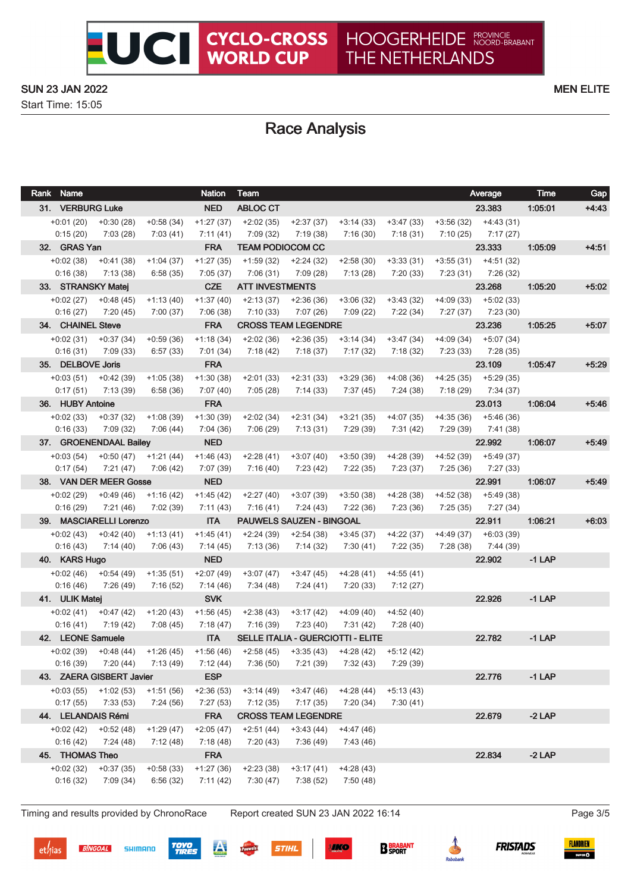Start Time: 15:05

## Race Analysis

UCI CYCLO-CROSS

| Rank Name                  |                                      |                                     | <b>Nation</b>           | Team                                                        |                                 |                                          |                          | Average                 | <b>Time</b> | Gap     |
|----------------------------|--------------------------------------|-------------------------------------|-------------------------|-------------------------------------------------------------|---------------------------------|------------------------------------------|--------------------------|-------------------------|-------------|---------|
| 31. VERBURG Luke           |                                      |                                     | <b>NED</b>              | <b>ABLOC CT</b>                                             |                                 |                                          |                          | 23.383                  | 1:05:01     | $+4.43$ |
|                            | $+0.01(20)$ $+0.30(28)$              | $+0.58(34)$                         | $+1:27(37)$             | $+2:02(35)$                                                 | $+2:37(37)$                     | $+3:14(33)$                              | +3:47 (33)               | $+3:56(32)$ $+4:43(31)$ |             |         |
| 0:15(20)                   | 7:03(28)                             | 7:03 (41)                           | 7:11 (41)               | 7:09 (32)                                                   | 7:19(38)                        | 7:16(30)                                 | 7:18 (31)                | $7:10(25)$ $7:17(27)$   |             |         |
| 32. GRAS Yan               |                                      |                                     | <b>FRA</b>              | <b>TEAM PODIOCOM CC</b>                                     |                                 |                                          |                          | 23.333                  | 1:05:09     | $+4:51$ |
| $+0.02(38)$                | +0:41 (38)                           | $+1:04(37)$                         | $+1:27(35)$             | $+1:59(32)$                                                 | $+2:24(32)$                     | $+2:58(30)$                              | $+3:33(31)$              | $+3:55(31)$ $+4:51(32)$ |             |         |
| 0:16(38)                   | 7:13(38)                             | 6:58(35)                            | 7:05(37)                | 7:06(31)                                                    | 7:09 (28)                       | 7:13(28)                                 | 7:20(33)                 | 7:23 (31) 7:26 (32)     |             |         |
|                            | 33. STRANSKY Matej                   |                                     | <b>CZE</b>              | <b>ATT INVESTMENTS</b>                                      |                                 |                                          |                          | 23.268                  | 1:05:20     | $+5:02$ |
| $+0.02(27)$                | $+0:48(45)$                          | $+1:13(40)$                         | $+1:37(40)$             | $+2:13(37)$                                                 | $+2:36(36)$                     | $+3:06(32)$                              | $+3:43(32)$              | $+4:09(33)$ $+5:02(33)$ |             |         |
| 0:16(27)                   | 7:20 (45)                            | 7:00 (37)                           | 7:06(38)                | 7:10(33)                                                    | 7:07(26)                        | 7:09 (22)                                | 7:22 (34)                | $7:27(37)$ $7:23(30)$   |             |         |
| 34. CHAINEL Steve          |                                      |                                     | <b>FRA</b>              |                                                             | <b>CROSS TEAM LEGENDRE</b>      |                                          |                          | 23.236                  | 1:05:25     | $+5:07$ |
|                            | $+0.02(31)$ $+0.37(34)$              | $+0.59(36)$                         | $+1:18(34)$             | $+2:02(36)$                                                 | $+2:36(35)$                     | $+3:14(34)$                              | $+3:47(34)$              | $+4:09(34)$ $+5:07(34)$ |             |         |
| 0:16(31)                   | 7:09 (33)                            | 6:57(33)                            | 7:01 (34)               | 7:18 (42)                                                   | 7:18 (37)                       | 7:17 (32)                                | 7:18 (32)                | $7:23(33)$ $7:28(35)$   |             |         |
| 35. DELBOVE Joris          |                                      |                                     | <b>FRA</b>              |                                                             |                                 |                                          |                          | 23.109                  | 1.05:47     | $+5:29$ |
| $+0.03(51)$                | +0:42 (39)                           | $+1:05(38)$                         | $+1:30(38)$             | $+2:01(33)$                                                 | $+2:31(33)$                     | $+3:29(36)$                              | $+4:08(36)$              | $+4:25(35)$ $+5:29(35)$ |             |         |
| 0:17(51)                   | 7:13 (39)                            | 6:58(36)                            | 7:07 (40)               | 7:05(28)                                                    | 7:14 (33)                       | 7:37 (45)                                | 7:24 (38)                | $7:18(29)$ $7:34(37)$   |             |         |
| 36. HUBY Antoine           |                                      |                                     | <b>FRA</b>              |                                                             |                                 |                                          |                          | 23.013                  | 1:06:04     | $+5.46$ |
| $+0.02(33)$                | $+0.37(32)$                          | $+1:08(39)$                         | $+1:30(39)$             | $+2:02(34)$                                                 | $+2:31(34)$                     | $+3:21(35)$                              | $+4:07(35)$              | $+4:35(36)$ $+5:46(36)$ |             |         |
| 0:16(33)                   | 7:09 (32)                            | 7:06 (44)                           | 7:04 (36)               | 7:06 (29)                                                   | 7:13(31)                        | 7:29 (39)                                | 7:31(42)                 | $7:29(39)$ $7:41(38)$   |             |         |
|                            | 37. GROENENDAAL Bailey               |                                     | <b>NED</b>              |                                                             |                                 |                                          |                          | 22.992                  | 1:06:07     | $+5.49$ |
| $+0.03(54)$                |                                      | $+0:50(47)$ $+1:21(44)$             | $+1:46(43)$             | $+2:28(41)$                                                 | $+3:07(40)$                     | $+3:50(39)$                              | $+4:28(39)$              | $+4:52(39)$ $+5:49(37)$ |             |         |
| 0:17(54)                   | 7:21(47)                             | 7:06 (42)                           | 7:07 (39)               | 7:16 (40)                                                   | 7:23 (42)                       | 7:22(35)                                 | 7:23 (37)                | $7:25(36)$ $7:27(33)$   |             |         |
|                            | 38. VAN DER MEER Gosse               |                                     | <b>NED</b>              |                                                             |                                 |                                          |                          | 22.991                  | 1:06:07     | $+5.49$ |
| +0:02 (29)                 |                                      | $+0.49(46)$ $+1.16(42)$             | $+1:45(42)$             | $+2:27(40)$                                                 | $+3:07(39)$                     | $+3:50(38)$                              | $+4:28(38)$              | $+4:52(38)$ $+5:49(38)$ |             |         |
| 0:16(29)                   | 7:21 (46)                            | 7:02 (39)                           | 7:11(43)                | 7:16 (41)                                                   | 7:24 (43)                       | 7:22 (36)                                | 7:23 (36)                | 7:25 (35) 7:27 (34)     |             |         |
|                            | 39. MASCIARELLI Lorenzo              |                                     | <b>ITA</b>              |                                                             | <b>PAUWELS SAUZEN - BINGOAL</b> |                                          |                          | 22.911                  | 1:06:21     | $+6:03$ |
|                            | $+0.02(43)$ $+0.42(40)$              | $+1:13(41)$                         | $+1:45(41)$             | $+2:24(39)$                                                 | +2:54 (38)                      | $+3:45(37)$                              | +4:22 (37)               | $+4:49(37) +6:03(39)$   |             |         |
| 0:16(43)                   | 7:14 (40)                            | 7:06 (43)                           | 7:14 (45)               | 7:13(36)                                                    | 7:14 (32)                       | 7:30(41)                                 | 7:22 (35)                | 7:28 (38) 7:44 (39)     |             |         |
| 40. KARS Hugo              |                                      |                                     | <b>NED</b>              |                                                             |                                 |                                          |                          | 22.902                  | $-1$ LAP    |         |
|                            | $+0.02(46)$ $+0.54(49)$              | $+1:35(51)$                         | $+2:07(49)$             | $+3:07(47)$                                                 | $+3:47(45)$                     | $+4:28(41)$                              | $+4:55(41)$              |                         |             |         |
| 0:16(46)<br>41. ULIK Matej | 7:26 (49)                            | 7:16(52)                            | 7:14 (46)<br><b>SVK</b> | 7:34 (48)                                                   | 7:24 (41)                       | 7:20 (33)                                | 7:12 (27)                | 22.926                  | $-1$ LAP    |         |
|                            |                                      |                                     |                         |                                                             |                                 |                                          |                          |                         |             |         |
| 0:16(41)                   | $+0.02(41)$ $+0.47(42)$<br>7:19 (42) | $+1:20(43)$<br>7:08 (45)            | $+1:56(45)$<br>7:18(47) | $+2:38(43)$<br>7:16 (39)                                    | $+3:17(42)$<br>7:23(40)         | $+4:09(40)$<br>7:31(42)                  | $+4:52(40)$<br>7:28 (40) |                         |             |         |
| 42. LEONE Samuele          |                                      |                                     | <b>ITA</b>              |                                                             |                                 | <b>SELLE ITALIA - GUERCIOTTI - ELITE</b> |                          | 22.782                  | $-1$ LAP    |         |
|                            |                                      | $+0.02(39)$ $+0.48(44)$ $+1.26(45)$ |                         | $+1:56(46)$ $+2:58(45)$ $+3:35(43)$ $+4:28(42)$ $+5:12(42)$ |                                 |                                          |                          |                         |             |         |
| 0:16(39)                   | 7:20 (44)                            | 7:13(49)                            | 7:12 (44)               | 7:36(50)                                                    | 7:21 (39)                       | 7:32(43)                                 | 7:29 (39)                |                         |             |         |
|                            | 43. ZAERA GISBERT Javier             |                                     | <b>ESP</b>              |                                                             |                                 |                                          |                          | 22.776                  | $-1$ LAP    |         |
| $+0.03(55)$                | $+1:02(53)$                          | $+1:51(56)$                         | $+2:36(53)$             | $+3:14(49)$                                                 | $+3:47(46)$                     | $+4:28(44)$                              | $+5:13(43)$              |                         |             |         |
| 0:17(55)                   | 7:33(53)                             | 7:24 (56)                           | 7:27(53)                | 7:12(35)                                                    | 7:17(35)                        | 7:20(34)                                 | 7:30(41)                 |                         |             |         |
|                            | 44. LELANDAIS Rémi                   |                                     | <b>FRA</b>              |                                                             | <b>CROSS TEAM LEGENDRE</b>      |                                          |                          | 22.679                  | $-2$ LAP    |         |
| $+0.02(42)$                | $+0.52(48)$                          | $+1:29(47)$                         | $+2:05(47)$             | $+2:51(44)$                                                 | $+3:43(44)$                     | $+4:47(46)$                              |                          |                         |             |         |
| 0:16(42)                   | 7:24(48)                             | 7:12(48)                            | 7:18(48)                | 7:20(43)                                                    | 7:36(49)                        | 7:43(46)                                 |                          |                         |             |         |
| 45. THOMAS Theo            |                                      |                                     | <b>FRA</b>              |                                                             |                                 |                                          |                          | 22.834                  | $-2$ LAP    |         |
| $+0:02(32)$                | $+0:37(35)$                          | $+0:58(33)$                         | $+1:27(36)$             | $+2:23(38)$                                                 | $+3:17(41)$                     | $+4:28(43)$                              |                          |                         |             |         |
| 0:16(32)                   | 7:09 (34)                            | 6:56(32)                            | 7:11(42)                | 7:30(47)                                                    | 7:38(52)                        | 7:50(48)                                 |                          |                         |             |         |
|                            |                                      |                                     |                         |                                                             |                                 |                                          |                          |                         |             |         |

Timing and results provided by ChronoRace Report created SUN 23 JAN 2022 16:14 Page 3/5

**BINGOAL** 









**B** BRABANT





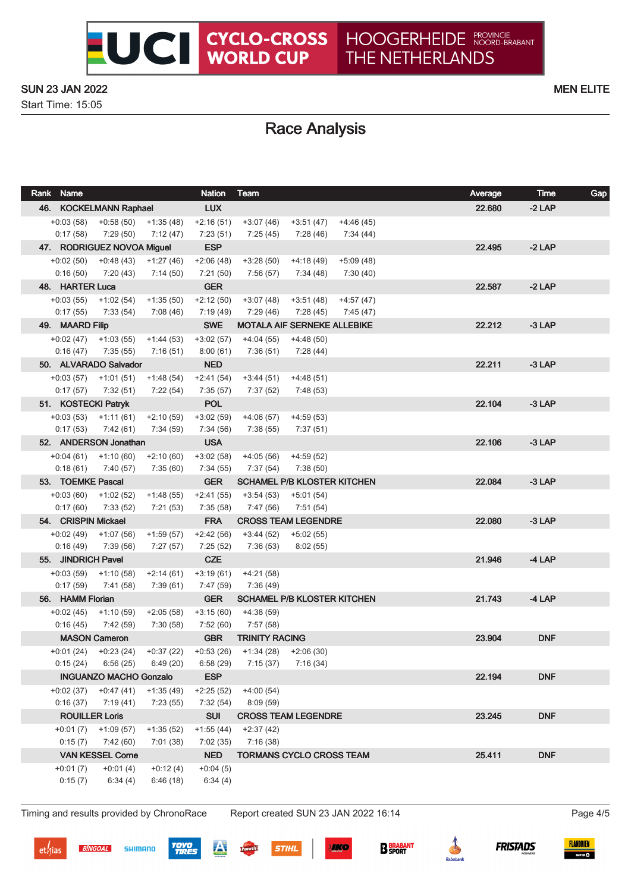Start Time: 15:05

## Race Analysis

| Rank Name              |                                                |                         | <b>Nation</b>           | Team                                |                                    |             | Average | <b>Time</b> | Gap |
|------------------------|------------------------------------------------|-------------------------|-------------------------|-------------------------------------|------------------------------------|-------------|---------|-------------|-----|
| 46. KOCKELMANN Raphael |                                                |                         | <b>LUX</b>              |                                     |                                    |             | 22.680  | $-2$ LAP    |     |
|                        | $+0.03(58)$ $+0.58(50)$ $+1.35(48)$            |                         | $+2:16(51)$             | +3:07 (46)                          | +3:51 (47)                         | $+4:46(45)$ |         |             |     |
| 0:17(58)               | 7:29 (50)                                      | 7:12 (47)               | 7:23 (51)               | 7:25 (45)                           | 7:28 (46)                          | 7:34 (44)   |         |             |     |
|                        | 47. RODRIGUEZ NOVOA Miguel                     |                         | <b>ESP</b>              |                                     |                                    |             | 22.495  | $-2$ LAP    |     |
|                        | $+0.02(50)$ $+0.48(43)$ $+1.27(46)$            |                         | $+2:06(48)$             | $+3:28(50)$                         | $+4:18(49)$                        | $+5:09(48)$ |         |             |     |
| 0:16(50)               | 7:20 (43)                                      | 7:14 (50)               | 7:21(50)                | 7:56 (57)                           | 7:34 (48)                          | 7:30 (40)   |         |             |     |
| 48. HARTER Luca        |                                                |                         | <b>GER</b>              |                                     |                                    |             | 22.587  | $-2$ LAP    |     |
|                        | $+0.03(55)$ $+1.02(54)$                        | $+1:35(50)$             | $+2:12(50)$             | $+3:07(48)$                         | $+3:51(48)$                        | $+4:57(47)$ |         |             |     |
|                        | $0:17(55)$ $7:33(54)$                          | 7:08 (46)               | 7:19 (49)               | 7:29 (46)                           | 7:28 (45)                          | 7:45 (47)   |         |             |     |
| 49. MAARD Filip        |                                                |                         | <b>SWE</b>              |                                     | <b>MOTALA AIF SERNEKE ALLEBIKE</b> |             | 22.212  | $-3$ LAP    |     |
|                        | $+0.02(47)$ $+1.03(55)$                        | $+1:44(53)$             | $+3:02(57)$             | $+4:04(55)$                         | +4:48 (50)                         |             |         |             |     |
|                        | $0:16(47)$ 7:35 (55)<br>50. ALVARADO Salvador  | 7:16 (51)               | 8:00(61)<br><b>NED</b>  | 7:36 (51)                           | 7:28 (44)                          |             | 22.211  | $-3$ LAP    |     |
|                        | $+0.03(57)$ $+1.01(51)$                        | $+1:48(54)$             | $+2:41(54)$             | $+3:44(51)$                         | $+4:48(51)$                        |             |         |             |     |
| 0:17(57)               | 7:32 (51)                                      | 7:22 (54)               | 7:35(57)                | 7:37 (52)                           | 7:48 (53)                          |             |         |             |     |
|                        | 51. KOSTECKI Patryk                            |                         | <b>POL</b>              |                                     |                                    |             | 22.104  | $-3$ LAP    |     |
|                        | $+0.03(53)$ $+1.11(61)$                        | $+2:10(59)$             | $+3:02(59)$             | $+4:06(57)$                         | $+4:59(53)$                        |             |         |             |     |
|                        | $0:17(53)$ $7:42(61)$                          | 7:34 (59)               | 7:34 (56)               | 7:38 (55)                           | 7:37 (51)                          |             |         |             |     |
|                        | 52. ANDERSON Jonathan                          |                         | <b>USA</b>              |                                     |                                    |             | 22.106  | $-3$ LAP    |     |
|                        | $+0.04(61)$ $+1.10(60)$                        | $+2:10(60)$             | $+3:02(58)$             | $+4:05(56)$                         | $+4:59(52)$                        |             |         |             |     |
| 0:18(61)               | 7:40 (57)                                      | 7:35(60)                | 7:34(55)                | 7:37(54)                            | 7:38(50)                           |             |         |             |     |
| 53. TOEMKE Pascal      |                                                |                         | <b>GER</b>              |                                     | <b>SCHAMEL P/B KLOSTER KITCHEN</b> |             | 22.084  | $-3$ LAP    |     |
|                        | $+0.03(60)$ $+1.02(52)$                        | $+1:48(55)$             | $+2:41(55)$             | +3:54 (53)                          | +5:01 (54)                         |             |         |             |     |
| 0:17(60)               | 7:33 (52)                                      | 7:21 (53)               | 7:35(58)                | 7:47 (56)                           | 7:51 (54)                          |             |         |             |     |
| 54. CRISPIN Mickael    |                                                |                         | <b>FRA</b>              |                                     | <b>CROSS TEAM LEGENDRE</b>         |             | 22.080  | $-3$ LAP    |     |
|                        | $+0.02(49)$ $+1.07(56)$                        | $+1:59(57)$             | $+2:42(56)$             | $+3:44(52)$                         | +5:02 (55)                         |             |         |             |     |
| 0:16(49)               | 7:39 (56)                                      | 7:27(57)                | 7:25(52)                | 7:36(53)                            | 8:02(55)                           |             |         |             |     |
| 55. JINDRICH Pavel     |                                                |                         | <b>CZE</b>              |                                     |                                    |             | 21.946  | $-4$ LAP    |     |
|                        | $+0.03(59)$ $+1.10(58)$                        | $+2:14(61)$             | $+3:19(61)$             | $+4:21(58)$                         |                                    |             |         |             |     |
| 0:17(59)               | 7:41 (58)                                      | 7:39 (61)               | 7:47(59)                | 7:36 (49)                           |                                    |             |         |             |     |
| 56. HAMM Florian       |                                                |                         | <b>GER</b>              |                                     | <b>SCHAMEL P/B KLOSTER KITCHEN</b> |             | 21.743  | $-4$ LAP    |     |
|                        | $+0.02(45)$ $+1.10(59)$                        | $+2:05(58)$             | $+3:15(60)$             | $+4:38(59)$                         |                                    |             |         |             |     |
| 0:16(45)               | 7:42 (59)                                      | 7:30 (58)               | 7:52 (60)               | 7:57 (58)<br><b>TRINITY RACING</b>  |                                    |             |         | <b>DNF</b>  |     |
|                        | <b>MASON Cameron</b>                           |                         | <b>GBR</b>              |                                     |                                    |             | 23.904  |             |     |
|                        | $+0.01(24)$ $+0.23(24)$<br>$0:15(24)$ 6:56(25) | +0:37 (22)<br>6:49 (20) | $+0.53(26)$<br>6:58(29) | $+1:34(28)$ $+2:06(30)$<br>7:15(37) | 7:16(34)                           |             |         |             |     |
|                        | <b>INGUANZO MACHO Gonzalo</b>                  |                         | <b>ESP</b>              |                                     |                                    |             | 22.194  | <b>DNF</b>  |     |
|                        | $+0.02(37)$ $+0.47(41)$                        | $+1:35(49)$             | $+2:25(52)$             | $+4:00(54)$                         |                                    |             |         |             |     |
| 0:16(37)               | 7:19 (41)                                      | 7:23(55)                | 7:32(54)                | 8:09(59)                            |                                    |             |         |             |     |
|                        | <b>ROUILLER Loris</b>                          |                         | <b>SUI</b>              |                                     | <b>CROSS TEAM LEGENDRE</b>         |             | 23.245  | <b>DNF</b>  |     |
|                        | $+0:01(7)$ $+1:09(57)$                         | $+1:35(52)$             | $+1:55(44)$             | $+2:37(42)$                         |                                    |             |         |             |     |
| 0:15(7)                | 7:42 (60)                                      | 7:01(38)                | 7:02(35)                | 7:16(38)                            |                                    |             |         |             |     |
|                        | <b>VAN KESSEL Corne</b>                        |                         | <b>NED</b>              |                                     | TORMANS CYCLO CROSS TEAM           |             | 25.411  | <b>DNF</b>  |     |
| $+0:01(7)$             | $+0:01(4)$                                     | $+0:12(4)$              | $+0:04(5)$              |                                     |                                    |             |         |             |     |
| 0:15(7)                | 6:34(4)                                        | 6:46(18)                | 6:34(4)                 |                                     |                                    |             |         |             |     |
|                        |                                                |                         |                         |                                     |                                    |             |         |             |     |

Timing and results provided by ChronoRace Report created SUN 23 JAN 2022 16:14 Page 4/5

**BINGOAL**